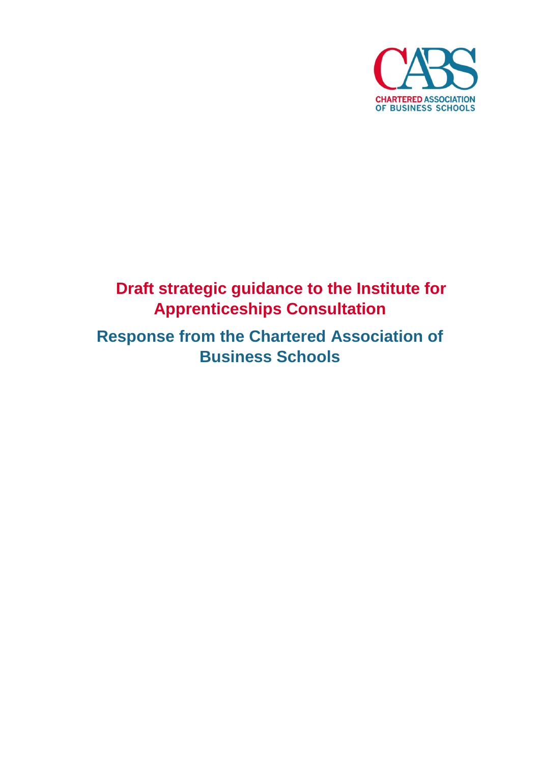

## **Draft strategic guidance to the Institute for Apprenticeships Consultation**

**Response from the Chartered Association of Business Schools**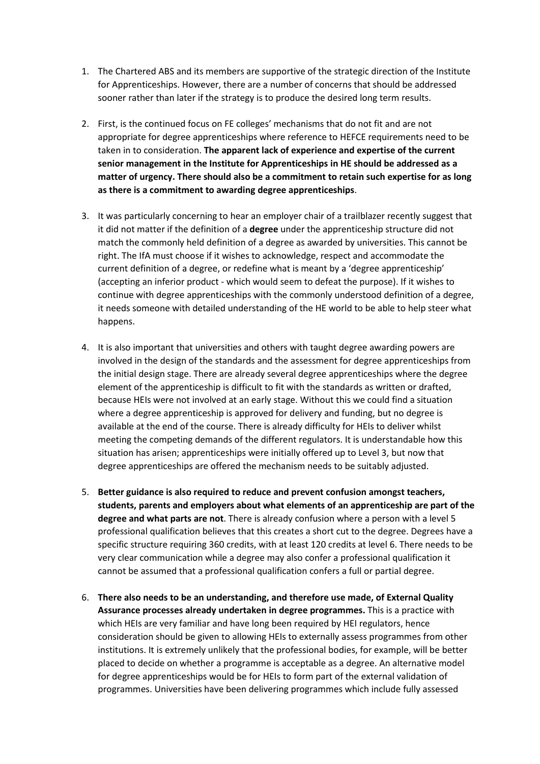- 1. The Chartered ABS and its members are supportive of the strategic direction of the Institute for Apprenticeships. However, there are a number of concerns that should be addressed sooner rather than later if the strategy is to produce the desired long term results.
- 2. First, is the continued focus on FE colleges' mechanisms that do not fit and are not appropriate for degree apprenticeships where reference to HEFCE requirements need to be taken in to consideration. **The apparent lack of experience and expertise of the current senior management in the Institute for Apprenticeships in HE should be addressed as a matter of urgency. There should also be a commitment to retain such expertise for as long as there is a commitment to awarding degree apprenticeships**.
- 3. It was particularly concerning to hear an employer chair of a trailblazer recently suggest that it did not matter if the definition of a **degree** under the apprenticeship structure did not match the commonly held definition of a degree as awarded by universities. This cannot be right. The IfA must choose if it wishes to acknowledge, respect and accommodate the current definition of a degree, or redefine what is meant by a 'degree apprenticeship' (accepting an inferior product - which would seem to defeat the purpose). If it wishes to continue with degree apprenticeships with the commonly understood definition of a degree, it needs someone with detailed understanding of the HE world to be able to help steer what happens.
- 4. It is also important that universities and others with taught degree awarding powers are involved in the design of the standards and the assessment for degree apprenticeships from the initial design stage. There are already several degree apprenticeships where the degree element of the apprenticeship is difficult to fit with the standards as written or drafted, because HEIs were not involved at an early stage. Without this we could find a situation where a degree apprenticeship is approved for delivery and funding, but no degree is available at the end of the course. There is already difficulty for HEIs to deliver whilst meeting the competing demands of the different regulators. It is understandable how this situation has arisen; apprenticeships were initially offered up to Level 3, but now that degree apprenticeships are offered the mechanism needs to be suitably adjusted.
- 5. **Better guidance is also required to reduce and prevent confusion amongst teachers, students, parents and employers about what elements of an apprenticeship are part of the degree and what parts are not**. There is already confusion where a person with a level 5 professional qualification believes that this creates a short cut to the degree. Degrees have a specific structure requiring 360 credits, with at least 120 credits at level 6. There needs to be very clear communication while a degree may also confer a professional qualification it cannot be assumed that a professional qualification confers a full or partial degree.
- 6. **There also needs to be an understanding, and therefore use made, of External Quality Assurance processes already undertaken in degree programmes.** This is a practice with which HEIs are very familiar and have long been required by HEI regulators, hence consideration should be given to allowing HEIs to externally assess programmes from other institutions. It is extremely unlikely that the professional bodies, for example, will be better placed to decide on whether a programme is acceptable as a degree. An alternative model for degree apprenticeships would be for HEIs to form part of the external validation of programmes. Universities have been delivering programmes which include fully assessed